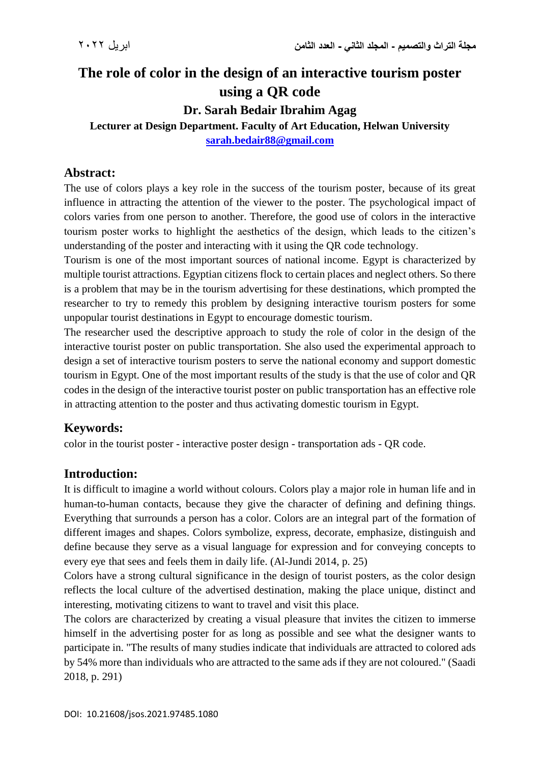# **The role of color in the design of an interactive tourism poster using a QR code**

**Dr. Sarah Bedair Ibrahim Agag**

**Lecturer at Design Department. Faculty of Art Education, Helwan University [sarah.bedair88@gmail.com](mailto:sarah.bedair88@gmail.com)**

# **Abstract:**

The use of colors plays a key role in the success of the tourism poster, because of its great influence in attracting the attention of the viewer to the poster. The psychological impact of colors varies from one person to another. Therefore, the good use of colors in the interactive tourism poster works to highlight the aesthetics of the design, which leads to the citizen's understanding of the poster and interacting with it using the QR code technology.

Tourism is one of the most important sources of national income. Egypt is characterized by multiple tourist attractions. Egyptian citizens flock to certain places and neglect others. So there is a problem that may be in the tourism advertising for these destinations, which prompted the researcher to try to remedy this problem by designing interactive tourism posters for some unpopular tourist destinations in Egypt to encourage domestic tourism.

The researcher used the descriptive approach to study the role of color in the design of the interactive tourist poster on public transportation. She also used the experimental approach to design a set of interactive tourism posters to serve the national economy and support domestic tourism in Egypt. One of the most important results of the study is that the use of color and QR codes in the design of the interactive tourist poster on public transportation has an effective role in attracting attention to the poster and thus activating domestic tourism in Egypt.

# **Keywords:**

color in the tourist poster - interactive poster design - transportation ads - QR code.

# **Introduction:**

It is difficult to imagine a world without colours. Colors play a major role in human life and in human-to-human contacts, because they give the character of defining and defining things. Everything that surrounds a person has a color. Colors are an integral part of the formation of different images and shapes. Colors symbolize, express, decorate, emphasize, distinguish and define because they serve as a visual language for expression and for conveying concepts to every eye that sees and feels them in daily life. (Al-Jundi 2014, p. 25)

Colors have a strong cultural significance in the design of tourist posters, as the color design reflects the local culture of the advertised destination, making the place unique, distinct and interesting, motivating citizens to want to travel and visit this place.

The colors are characterized by creating a visual pleasure that invites the citizen to immerse himself in the advertising poster for as long as possible and see what the designer wants to participate in. "The results of many studies indicate that individuals are attracted to colored ads by 54% more than individuals who are attracted to the same ads if they are not coloured." (Saadi 2018, p. 291)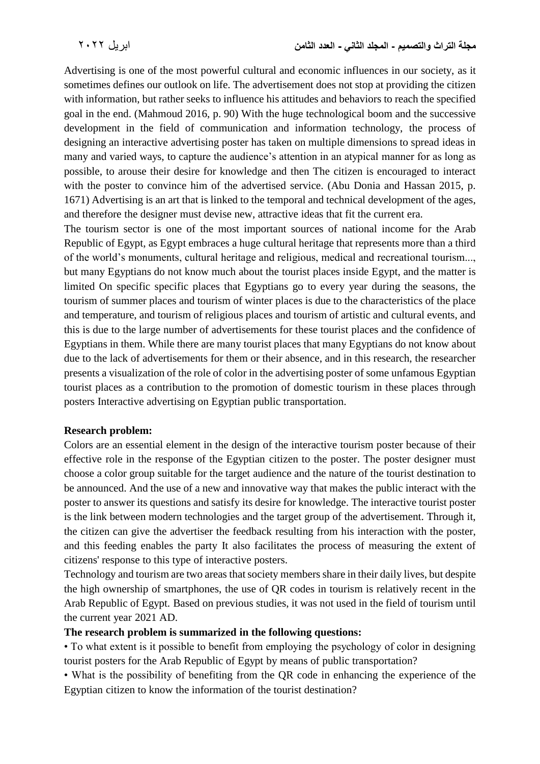Advertising is one of the most powerful cultural and economic influences in our society, as it sometimes defines our outlook on life. The advertisement does not stop at providing the citizen with information, but rather seeks to influence his attitudes and behaviors to reach the specified goal in the end. (Mahmoud 2016, p. 90) With the huge technological boom and the successive development in the field of communication and information technology, the process of designing an interactive advertising poster has taken on multiple dimensions to spread ideas in many and varied ways, to capture the audience's attention in an atypical manner for as long as possible, to arouse their desire for knowledge and then The citizen is encouraged to interact with the poster to convince him of the advertised service. (Abu Donia and Hassan 2015, p. 1671) Advertising is an art that is linked to the temporal and technical development of the ages, and therefore the designer must devise new, attractive ideas that fit the current era.

The tourism sector is one of the most important sources of national income for the Arab Republic of Egypt, as Egypt embraces a huge cultural heritage that represents more than a third of the world's monuments, cultural heritage and religious, medical and recreational tourism..., but many Egyptians do not know much about the tourist places inside Egypt, and the matter is limited On specific specific places that Egyptians go to every year during the seasons, the tourism of summer places and tourism of winter places is due to the characteristics of the place and temperature, and tourism of religious places and tourism of artistic and cultural events, and this is due to the large number of advertisements for these tourist places and the confidence of Egyptians in them. While there are many tourist places that many Egyptians do not know about due to the lack of advertisements for them or their absence, and in this research, the researcher presents a visualization of the role of color in the advertising poster of some unfamous Egyptian tourist places as a contribution to the promotion of domestic tourism in these places through posters Interactive advertising on Egyptian public transportation.

#### **Research problem:**

Colors are an essential element in the design of the interactive tourism poster because of their effective role in the response of the Egyptian citizen to the poster. The poster designer must choose a color group suitable for the target audience and the nature of the tourist destination to be announced. And the use of a new and innovative way that makes the public interact with the poster to answer its questions and satisfy its desire for knowledge. The interactive tourist poster is the link between modern technologies and the target group of the advertisement. Through it, the citizen can give the advertiser the feedback resulting from his interaction with the poster, and this feeding enables the party It also facilitates the process of measuring the extent of citizens' response to this type of interactive posters.

Technology and tourism are two areas that society members share in their daily lives, but despite the high ownership of smartphones, the use of QR codes in tourism is relatively recent in the Arab Republic of Egypt. Based on previous studies, it was not used in the field of tourism until the current year 2021 AD.

### **The research problem is summarized in the following questions:**

• To what extent is it possible to benefit from employing the psychology of color in designing tourist posters for the Arab Republic of Egypt by means of public transportation?

• What is the possibility of benefiting from the QR code in enhancing the experience of the Egyptian citizen to know the information of the tourist destination?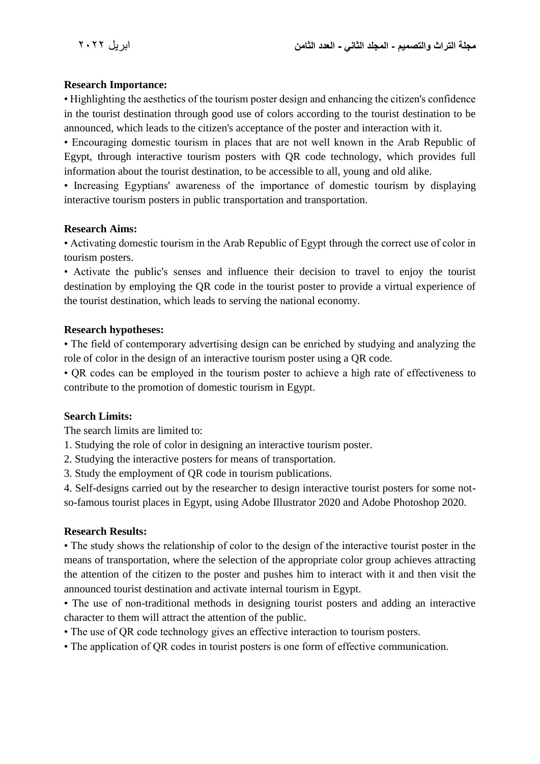#### **Research Importance:**

• Highlighting the aesthetics of the tourism poster design and enhancing the citizen's confidence in the tourist destination through good use of colors according to the tourist destination to be announced, which leads to the citizen's acceptance of the poster and interaction with it.

• Encouraging domestic tourism in places that are not well known in the Arab Republic of Egypt, through interactive tourism posters with QR code technology, which provides full information about the tourist destination, to be accessible to all, young and old alike.

• Increasing Egyptians' awareness of the importance of domestic tourism by displaying interactive tourism posters in public transportation and transportation.

#### **Research Aims:**

• Activating domestic tourism in the Arab Republic of Egypt through the correct use of color in tourism posters.

• Activate the public's senses and influence their decision to travel to enjoy the tourist destination by employing the QR code in the tourist poster to provide a virtual experience of the tourist destination, which leads to serving the national economy.

#### **Research hypotheses:**

• The field of contemporary advertising design can be enriched by studying and analyzing the role of color in the design of an interactive tourism poster using a QR code.

• QR codes can be employed in the tourism poster to achieve a high rate of effectiveness to contribute to the promotion of domestic tourism in Egypt.

### **Search Limits:**

The search limits are limited to:

1. Studying the role of color in designing an interactive tourism poster.

2. Studying the interactive posters for means of transportation.

3. Study the employment of QR code in tourism publications.

4. Self-designs carried out by the researcher to design interactive tourist posters for some notso-famous tourist places in Egypt, using Adobe Illustrator 2020 and Adobe Photoshop 2020.

#### **Research Results:**

• The study shows the relationship of color to the design of the interactive tourist poster in the means of transportation, where the selection of the appropriate color group achieves attracting the attention of the citizen to the poster and pushes him to interact with it and then visit the announced tourist destination and activate internal tourism in Egypt.

• The use of non-traditional methods in designing tourist posters and adding an interactive character to them will attract the attention of the public.

• The use of QR code technology gives an effective interaction to tourism posters.

• The application of QR codes in tourist posters is one form of effective communication.